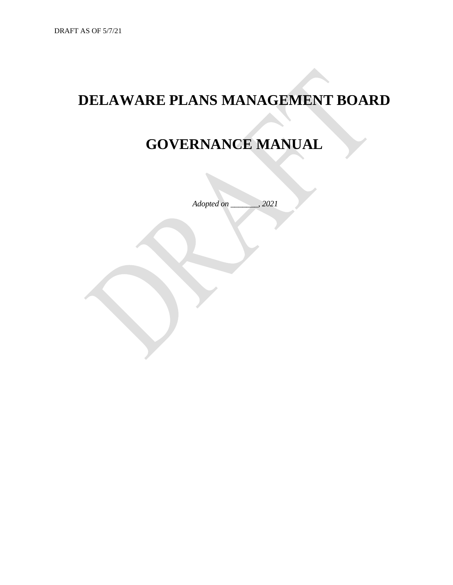# **DELAWARE PLANS MANAGEMENT BOARD**

# **GOVERNANCE MANUAL**

*Adopted on \_\_\_\_\_\_\_, 2021*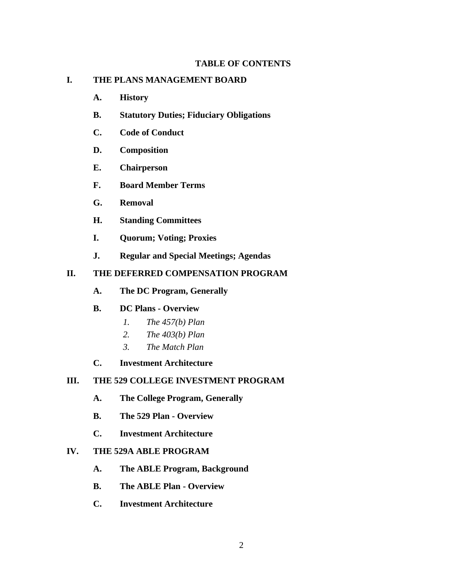## **TABLE OF CONTENTS**

## **I. THE PLANS MANAGEMENT BOARD**

- **A. History**
- **B. Statutory Duties; Fiduciary Obligations**
- **C. Code of Conduct**
- **D. Composition**
- **E. Chairperson**
- **F. Board Member Terms**
- **G. Removal**
- **H. Standing Committees**
- **I. Quorum; Voting; Proxies**
- **J. Regular and Special Meetings; Agendas**

# **II. THE DEFERRED COMPENSATION PROGRAM**

**A. The DC Program, Generally**

#### **B. DC Plans - Overview**

- *1. The 457(b) Plan*
- *2. The 403(b) Plan*
- *3. The Match Plan*
- **C. Investment Architecture**

## **III. THE 529 COLLEGE INVESTMENT PROGRAM**

- **A. The College Program, Generally**
- **B. The 529 Plan - Overview**
- **C. Investment Architecture**

## **IV. THE 529A ABLE PROGRAM**

- **A. The ABLE Program, Background**
- **B. The ABLE Plan - Overview**
- **C. Investment Architecture**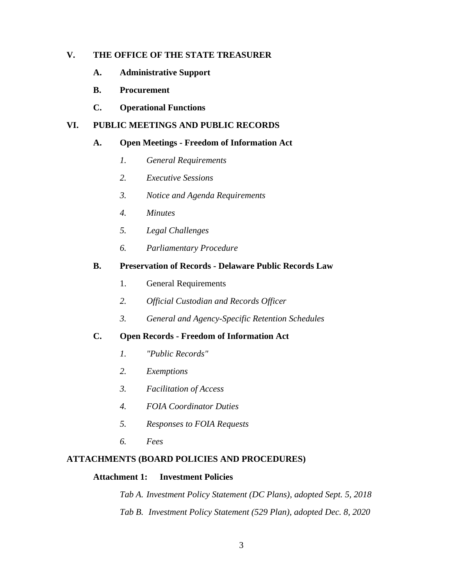# **V. THE OFFICE OF THE STATE TREASURER**

- **A. Administrative Support**
- **B. Procurement**
- **C. Operational Functions**

## **VI. PUBLIC MEETINGS AND PUBLIC RECORDS**

## **A. Open Meetings - Freedom of Information Act**

- *1. General Requirements*
- *2. Executive Sessions*
- *3. Notice and Agenda Requirements*
- *4. Minutes*
- *5. Legal Challenges*
- *6. Parliamentary Procedure*

## **B. Preservation of Records - Delaware Public Records Law**

- 1. General Requirements
- *2. Official Custodian and Records Officer*
- *3. General and Agency-Specific Retention Schedules*

#### **C. Open Records - Freedom of Information Act**

- *1. "Public Records"*
- *2. Exemptions*
- *3. Facilitation of Access*
- *4. FOIA Coordinator Duties*
- *5. Responses to FOIA Requests*
- *6. Fees*

## **ATTACHMENTS (BOARD POLICIES AND PROCEDURES)**

## **Attachment 1: Investment Policies**

*Tab A. Investment Policy Statement (DC Plans), adopted Sept. 5, 2018 Tab B. Investment Policy Statement (529 Plan), adopted Dec. 8, 2020*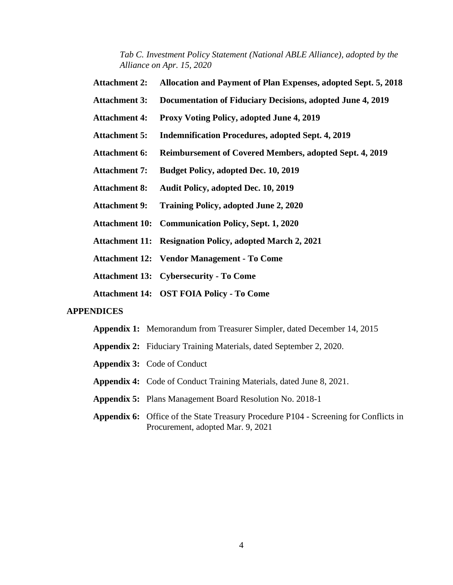*Tab C. Investment Policy Statement (National ABLE Alliance), adopted by the Alliance on Apr. 15, 2020*

- **Attachment 2: Allocation and Payment of Plan Expenses, adopted Sept. 5, 2018**
- **Attachment 3: Documentation of Fiduciary Decisions, adopted June 4, 2019**
- **Attachment 4: Proxy Voting Policy, adopted June 4, 2019**
- **Attachment 5: Indemnification Procedures, adopted Sept. 4, 2019**
- **Attachment 6: Reimbursement of Covered Members, adopted Sept. 4, 2019**
- **Attachment 7: Budget Policy, adopted Dec. 10, 2019**
- **Attachment 8: Audit Policy, adopted Dec. 10, 2019**
- **Attachment 9: Training Policy, adopted June 2, 2020**
- **Attachment 10: Communication Policy, Sept. 1, 2020**
- **Attachment 11: Resignation Policy, adopted March 2, 2021**
- **Attachment 12: Vendor Management - To Come**

**Attachment 13: Cybersecurity - To Come**

**Attachment 14: OST FOIA Policy - To Come**

#### **APPENDICES**

- **Appendix 1:** Memorandum from Treasurer Simpler, dated December 14, 2015
- **Appendix 2:** Fiduciary Training Materials, dated September 2, 2020.
- **Appendix 3:** Code of Conduct
- **Appendix 4:** Code of Conduct Training Materials, dated June 8, 2021.
- **Appendix 5:** Plans Management Board Resolution No. 2018-1
- **Appendix 6:** Office of the State Treasury Procedure P104 Screening for Conflicts in Procurement, adopted Mar. 9, 2021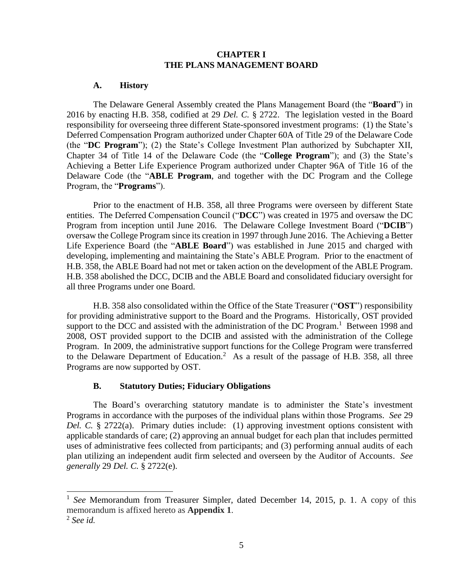#### **CHAPTER I THE PLANS MANAGEMENT BOARD**

#### **A. History**

The Delaware General Assembly created the Plans Management Board (the "**Board**") in 2016 by enacting H.B. 358, codified at 29 *Del. C.* § 2722. The legislation vested in the Board responsibility for overseeing three different State-sponsored investment programs: (1) the State's Deferred Compensation Program authorized under Chapter 60A of Title 29 of the Delaware Code (the "**DC Program**"); (2) the State's College Investment Plan authorized by Subchapter XII, Chapter 34 of Title 14 of the Delaware Code (the "**College Program**"); and (3) the State's Achieving a Better Life Experience Program authorized under Chapter 96A of Title 16 of the Delaware Code (the "**ABLE Program**, and together with the DC Program and the College Program, the "**Programs**").

Prior to the enactment of H.B. 358, all three Programs were overseen by different State entities. The Deferred Compensation Council ("**DCC**") was created in 1975 and oversaw the DC Program from inception until June 2016. The Delaware College Investment Board ("**DCIB**") oversaw the College Program since its creation in 1997 through June 2016. The Achieving a Better Life Experience Board (the "**ABLE Board**") was established in June 2015 and charged with developing, implementing and maintaining the State's ABLE Program. Prior to the enactment of H.B. 358, the ABLE Board had not met or taken action on the development of the ABLE Program. H.B. 358 abolished the DCC, DCIB and the ABLE Board and consolidated fiduciary oversight for all three Programs under one Board.

H.B. 358 also consolidated within the Office of the State Treasurer ("**OST**") responsibility for providing administrative support to the Board and the Programs. Historically, OST provided support to the DCC and assisted with the administration of the DC Program.<sup>1</sup> Between 1998 and 2008, OST provided support to the DCIB and assisted with the administration of the College Program. In 2009, the administrative support functions for the College Program were transferred to the Delaware Department of Education.<sup>2</sup> As a result of the passage of H.B. 358, all three Programs are now supported by OST.

#### **B. Statutory Duties; Fiduciary Obligations**

The Board's overarching statutory mandate is to administer the State's investment Programs in accordance with the purposes of the individual plans within those Programs. *See* 29 *Del. C.* § 2722(a). Primary duties include: (1) approving investment options consistent with applicable standards of care; (2) approving an annual budget for each plan that includes permitted uses of administrative fees collected from participants; and (3) performing annual audits of each plan utilizing an independent audit firm selected and overseen by the Auditor of Accounts. *See generally* 29 *Del. C.* § 2722(e).

<sup>&</sup>lt;sup>1</sup> See Memorandum from Treasurer Simpler, dated December 14, 2015, p. 1. A copy of this memorandum is affixed hereto as **Appendix 1**.

<sup>2</sup> *See id.*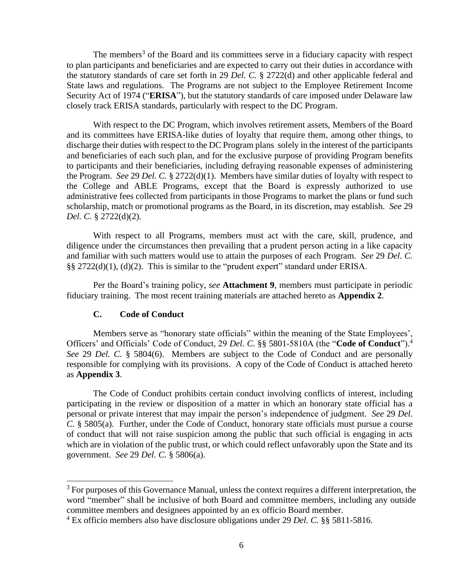The members<sup>3</sup> of the Board and its committees serve in a fiduciary capacity with respect to plan participants and beneficiaries and are expected to carry out their duties in accordance with the statutory standards of care set forth in 29 *Del. C.* § 2722(d) and other applicable federal and State laws and regulations. The Programs are not subject to the Employee Retirement Income Security Act of 1974 ("**ERISA**"), but the statutory standards of care imposed under Delaware law closely track ERISA standards, particularly with respect to the DC Program.

With respect to the DC Program, which involves retirement assets, Members of the Board and its committees have ERISA-like duties of loyalty that require them, among other things, to discharge their duties with respect to the DC Program plans solely in the interest of the participants and beneficiaries of each such plan, and for the exclusive purpose of providing Program benefits to participants and their beneficiaries, including defraying reasonable expenses of administering the Program. *See* 29 *Del. C.* § 2722(d)(1). Members have similar duties of loyalty with respect to the College and ABLE Programs, except that the Board is expressly authorized to use administrative fees collected from participants in those Programs to market the plans or fund such scholarship, match or promotional programs as the Board, in its discretion, may establish. *See* 29 *Del. C.* § 2722(d)(2).

With respect to all Programs, members must act with the care, skill, prudence, and diligence under the circumstances then prevailing that a prudent person acting in a like capacity and familiar with such matters would use to attain the purposes of each Program. *See* 29 *Del. C.* §§ 2722(d)(1), (d)(2). This is similar to the "prudent expert" standard under ERISA.

Per the Board's training policy, *see* **Attachment 9**, members must participate in periodic fiduciary training. The most recent training materials are attached hereto as **Appendix 2**.

## **C. Code of Conduct**

Members serve as "honorary state officials" within the meaning of the State Employees', Officers' and Officials' Code of Conduct, 29 *Del. C.* §§ 5801-5810A (the "**Code of Conduct**"). 4 *See* 29 *Del. C.* § 5804(6). Members are subject to the Code of Conduct and are personally responsible for complying with its provisions. A copy of the Code of Conduct is attached hereto as **Appendix 3**.

The Code of Conduct prohibits certain conduct involving conflicts of interest, including participating in the review or disposition of a matter in which an honorary state official has a personal or private interest that may impair the person's independence of judgment. *See* 29 *Del. C.* § 5805(a). Further, under the Code of Conduct, honorary state officials must pursue a course of conduct that will not raise suspicion among the public that such official is engaging in acts which are in violation of the public trust, or which could reflect unfavorably upon the State and its government. *See* 29 *Del. C.* § 5806(a).

<sup>&</sup>lt;sup>3</sup> For purposes of this Governance Manual, unless the context requires a different interpretation, the word "member" shall be inclusive of both Board and committee members, including any outside committee members and designees appointed by an ex officio Board member.

<sup>4</sup> Ex officio members also have disclosure obligations under 29 *Del. C.* §§ 5811-5816.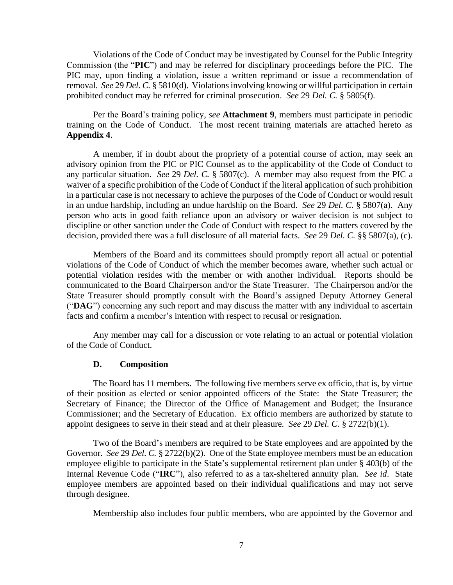Violations of the Code of Conduct may be investigated by Counsel for the Public Integrity Commission (the "**PIC**") and may be referred for disciplinary proceedings before the PIC. The PIC may, upon finding a violation, issue a written reprimand or issue a recommendation of removal. *See* 29 *Del. C.* § 5810(d). Violations involving knowing or willful participation in certain prohibited conduct may be referred for criminal prosecution. *See* 29 *Del. C.* § 5805(f).

Per the Board's training policy, *see* **Attachment 9**, members must participate in periodic training on the Code of Conduct. The most recent training materials are attached hereto as **Appendix 4**.

A member, if in doubt about the propriety of a potential course of action, may seek an advisory opinion from the PIC or PIC Counsel as to the applicability of the Code of Conduct to any particular situation. *See* 29 *Del. C.* § 5807(c). A member may also request from the PIC a waiver of a specific prohibition of the Code of Conduct if the literal application of such prohibition in a particular case is not necessary to achieve the purposes of the Code of Conduct or would result in an undue hardship, including an undue hardship on the Board. *See* 29 *Del. C.* § 5807(a). Any person who acts in good faith reliance upon an advisory or waiver decision is not subject to discipline or other sanction under the Code of Conduct with respect to the matters covered by the decision, provided there was a full disclosure of all material facts. *See* 29 *Del. C.* §§ 5807(a), (c).

Members of the Board and its committees should promptly report all actual or potential violations of the Code of Conduct of which the member becomes aware, whether such actual or potential violation resides with the member or with another individual. Reports should be communicated to the Board Chairperson and/or the State Treasurer. The Chairperson and/or the State Treasurer should promptly consult with the Board's assigned Deputy Attorney General ("**DAG**") concerning any such report and may discuss the matter with any individual to ascertain facts and confirm a member's intention with respect to recusal or resignation.

Any member may call for a discussion or vote relating to an actual or potential violation of the Code of Conduct.

#### **D. Composition**

The Board has 11 members. The following five members serve ex officio, that is, by virtue of their position as elected or senior appointed officers of the State: the State Treasurer; the Secretary of Finance; the Director of the Office of Management and Budget; the Insurance Commissioner; and the Secretary of Education. Ex officio members are authorized by statute to appoint designees to serve in their stead and at their pleasure. *See* 29 *Del. C.* § 2722(b)(1).

Two of the Board's members are required to be State employees and are appointed by the Governor. *See* 29 *Del. C.* § 2722(b)(2). One of the State employee members must be an education employee eligible to participate in the State's supplemental retirement plan under § 403(b) of the Internal Revenue Code ("**IRC**"), also referred to as a tax-sheltered annuity plan. *See id*. State employee members are appointed based on their individual qualifications and may not serve through designee.

Membership also includes four public members, who are appointed by the Governor and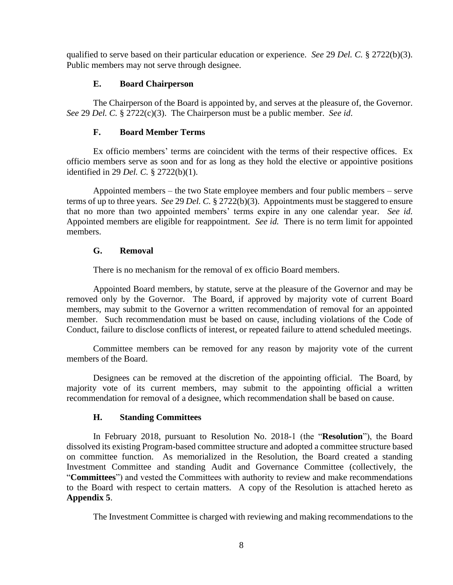qualified to serve based on their particular education or experience. *See* 29 *Del. C.* § 2722(b)(3). Public members may not serve through designee.

## **E. Board Chairperson**

The Chairperson of the Board is appointed by, and serves at the pleasure of, the Governor. *See* 29 *Del. C.* § 2722(c)(3). The Chairperson must be a public member. *See id*.

# **F. Board Member Terms**

Ex officio members' terms are coincident with the terms of their respective offices. Ex officio members serve as soon and for as long as they hold the elective or appointive positions identified in 29 *Del. C.* § 2722(b)(1).

Appointed members – the two State employee members and four public members – serve terms of up to three years. *See* 29 *Del. C.* § 2722(b)(3). Appointments must be staggered to ensure that no more than two appointed members' terms expire in any one calendar year. *See id.* Appointed members are eligible for reappointment. *See id.* There is no term limit for appointed members.

# **G. Removal**

There is no mechanism for the removal of ex officio Board members.

Appointed Board members, by statute, serve at the pleasure of the Governor and may be removed only by the Governor. The Board, if approved by majority vote of current Board members, may submit to the Governor a written recommendation of removal for an appointed member. Such recommendation must be based on cause, including violations of the Code of Conduct, failure to disclose conflicts of interest, or repeated failure to attend scheduled meetings.

Committee members can be removed for any reason by majority vote of the current members of the Board.

Designees can be removed at the discretion of the appointing official. The Board, by majority vote of its current members, may submit to the appointing official a written recommendation for removal of a designee, which recommendation shall be based on cause.

## **H. Standing Committees**

In February 2018, pursuant to Resolution No. 2018-1 (the "**Resolution**"), the Board dissolved its existing Program-based committee structure and adopted a committee structure based on committee function. As memorialized in the Resolution, the Board created a standing Investment Committee and standing Audit and Governance Committee (collectively, the "**Committees**") and vested the Committees with authority to review and make recommendations to the Board with respect to certain matters. A copy of the Resolution is attached hereto as **Appendix 5**.

The Investment Committee is charged with reviewing and making recommendations to the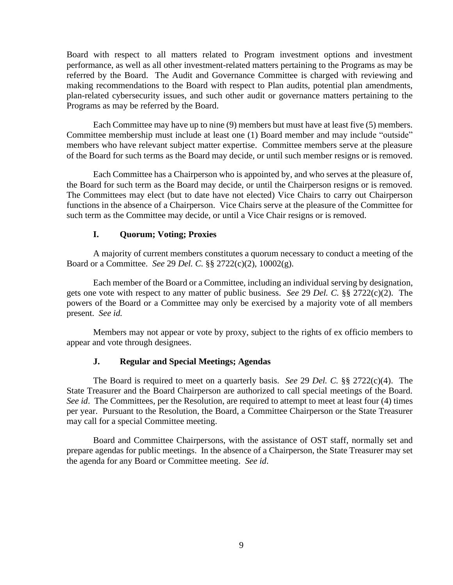Board with respect to all matters related to Program investment options and investment performance, as well as all other investment-related matters pertaining to the Programs as may be referred by the Board. The Audit and Governance Committee is charged with reviewing and making recommendations to the Board with respect to Plan audits, potential plan amendments, plan-related cybersecurity issues, and such other audit or governance matters pertaining to the Programs as may be referred by the Board.

Each Committee may have up to nine (9) members but must have at least five (5) members. Committee membership must include at least one (1) Board member and may include "outside" members who have relevant subject matter expertise. Committee members serve at the pleasure of the Board for such terms as the Board may decide, or until such member resigns or is removed.

Each Committee has a Chairperson who is appointed by, and who serves at the pleasure of, the Board for such term as the Board may decide, or until the Chairperson resigns or is removed. The Committees may elect (but to date have not elected) Vice Chairs to carry out Chairperson functions in the absence of a Chairperson. Vice Chairs serve at the pleasure of the Committee for such term as the Committee may decide, or until a Vice Chair resigns or is removed.

#### **I. Quorum; Voting; Proxies**

A majority of current members constitutes a quorum necessary to conduct a meeting of the Board or a Committee. *See* 29 *Del. C.* §§ 2722(c)(2), 10002(g).

Each member of the Board or a Committee, including an individual serving by designation, gets one vote with respect to any matter of public business. *See* 29 *Del. C.* §§ 2722(c)(2). The powers of the Board or a Committee may only be exercised by a majority vote of all members present. *See id.*

Members may not appear or vote by proxy, subject to the rights of ex officio members to appear and vote through designees.

## **J. Regular and Special Meetings; Agendas**

The Board is required to meet on a quarterly basis. *See* 29 *Del. C.* §§ 2722(c)(4). The State Treasurer and the Board Chairperson are authorized to call special meetings of the Board. *See id.* The Committees, per the Resolution, are required to attempt to meet at least four (4) times per year. Pursuant to the Resolution, the Board, a Committee Chairperson or the State Treasurer may call for a special Committee meeting.

Board and Committee Chairpersons, with the assistance of OST staff, normally set and prepare agendas for public meetings. In the absence of a Chairperson, the State Treasurer may set the agenda for any Board or Committee meeting. *See id*.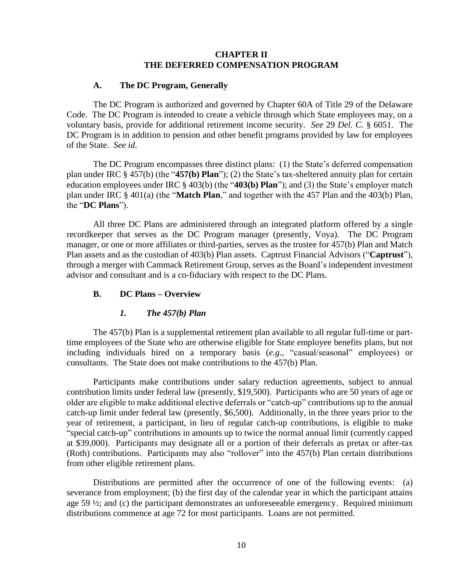## **CHAPTER II THE DEFERRED COMPENSATION PROGRAM**

#### **A. The DC Program, Generally**

The DC Program is authorized and governed by Chapter 60A of Title 29 of the Delaware Code. The DC Program is intended to create a vehicle through which State employees may, on a voluntary basis, provide for additional retirement income security. *See* 29 *Del. C.* § 6051. The DC Program is in addition to pension and other benefit programs provided by law for employees of the State. *See id*.

The DC Program encompasses three distinct plans: (1) the State's deferred compensation plan under IRC § 457(b) (the "**457(b) Plan**"); (2) the State's tax-sheltered annuity plan for certain education employees under IRC § 403(b) (the "**403(b) Plan**"); and (3) the State's employer match plan under IRC § 401(a) (the "**Match Plan**," and together with the 457 Plan and the 403(b) Plan, the "**DC Plans**").

All three DC Plans are administered through an integrated platform offered by a single recordkeeper that serves as the DC Program manager (presently, Voya). The DC Program manager, or one or more affiliates or third-parties, serves as the trustee for 457(b) Plan and Match Plan assets and as the custodian of 403(b) Plan assets. Captrust Financial Advisors ("**Captrust**"), through a merger with Cammack Retirement Group, serves as the Board's independent investment advisor and consultant and is a co-fiduciary with respect to the DC Plans.

#### **B. DC Plans – Overview**

#### *1. The 457(b) Plan*

The 457(b) Plan is a supplemental retirement plan available to all regular full-time or parttime employees of the State who are otherwise eligible for State employee benefits plans, but not including individuals hired on a temporary basis (*e.g.*, "casual/seasonal" employees) or consultants. The State does not make contributions to the 457(b) Plan.

Participants make contributions under salary reduction agreements, subject to annual contribution limits under federal law (presently, \$19,500). Participants who are 50 years of age or older are eligible to make additional elective deferrals or "catch-up" contributions up to the annual catch-up limit under federal law (presently, \$6,500). Additionally, in the three years prior to the year of retirement, a participant, in lieu of regular catch-up contributions, is eligible to make "special catch-up" contributions in amounts up to twice the normal annual limit (currently capped at \$39,000). Participants may designate all or a portion of their deferrals as pretax or after-tax (Roth) contributions. Participants may also "rollover" into the 457(b) Plan certain distributions from other eligible retirement plans.

Distributions are permitted after the occurrence of one of the following events: (a) severance from employment; (b) the first day of the calendar year in which the participant attains age 59 ½; and (c) the participant demonstrates an unforeseeable emergency. Required minimum distributions commence at age 72 for most participants. Loans are not permitted.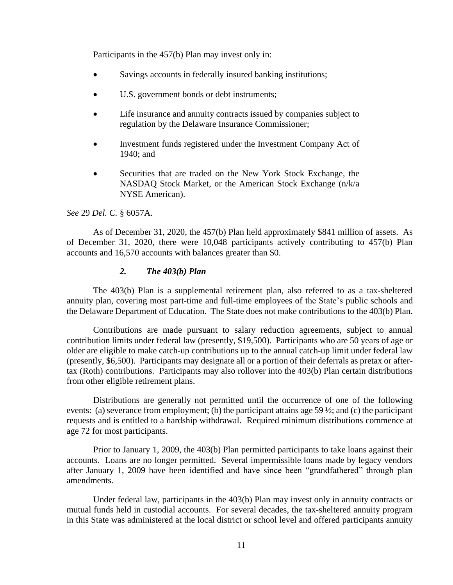Participants in the 457(b) Plan may invest only in:

- Savings accounts in federally insured banking institutions;
- U.S. government bonds or debt instruments;
- Life insurance and annuity contracts issued by companies subject to regulation by the Delaware Insurance Commissioner;
- Investment funds registered under the Investment Company Act of 1940; and
- Securities that are traded on the New York Stock Exchange, the NASDAQ Stock Market, or the American Stock Exchange (n/k/a NYSE American).

#### *See* 29 *Del. C.* § 6057A.

As of December 31, 2020, the 457(b) Plan held approximately \$841 million of assets. As of December 31, 2020, there were 10,048 participants actively contributing to 457(b) Plan accounts and 16,570 accounts with balances greater than \$0.

#### *2. The 403(b) Plan*

The 403(b) Plan is a supplemental retirement plan, also referred to as a tax-sheltered annuity plan, covering most part-time and full-time employees of the State's public schools and the Delaware Department of Education. The State does not make contributions to the 403(b) Plan.

Contributions are made pursuant to salary reduction agreements, subject to annual contribution limits under federal law (presently, \$19,500). Participants who are 50 years of age or older are eligible to make catch-up contributions up to the annual catch-up limit under federal law (presently, \$6,500). Participants may designate all or a portion of their deferrals as pretax or aftertax (Roth) contributions. Participants may also rollover into the 403(b) Plan certain distributions from other eligible retirement plans.

Distributions are generally not permitted until the occurrence of one of the following events: (a) severance from employment; (b) the participant attains age 59 ½; and (c) the participant requests and is entitled to a hardship withdrawal. Required minimum distributions commence at age 72 for most participants.

Prior to January 1, 2009, the 403(b) Plan permitted participants to take loans against their accounts. Loans are no longer permitted. Several impermissible loans made by legacy vendors after January 1, 2009 have been identified and have since been "grandfathered" through plan amendments.

Under federal law, participants in the 403(b) Plan may invest only in annuity contracts or mutual funds held in custodial accounts. For several decades, the tax-sheltered annuity program in this State was administered at the local district or school level and offered participants annuity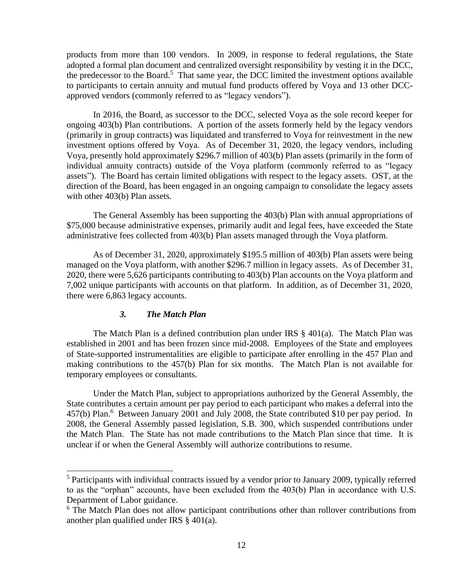products from more than 100 vendors. In 2009, in response to federal regulations, the State adopted a formal plan document and centralized oversight responsibility by vesting it in the DCC, the predecessor to the Board.<sup>5</sup> That same year, the DCC limited the investment options available to participants to certain annuity and mutual fund products offered by Voya and 13 other DCCapproved vendors (commonly referred to as "legacy vendors").

In 2016, the Board, as successor to the DCC, selected Voya as the sole record keeper for ongoing 403(b) Plan contributions. A portion of the assets formerly held by the legacy vendors (primarily in group contracts) was liquidated and transferred to Voya for reinvestment in the new investment options offered by Voya. As of December 31, 2020, the legacy vendors, including Voya, presently hold approximately \$296.7 million of 403(b) Plan assets (primarily in the form of individual annuity contracts) outside of the Voya platform (commonly referred to as "legacy assets"). The Board has certain limited obligations with respect to the legacy assets. OST, at the direction of the Board, has been engaged in an ongoing campaign to consolidate the legacy assets with other 403(b) Plan assets.

The General Assembly has been supporting the 403(b) Plan with annual appropriations of \$75,000 because administrative expenses, primarily audit and legal fees, have exceeded the State administrative fees collected from 403(b) Plan assets managed through the Voya platform.

As of December 31, 2020, approximately \$195.5 million of 403(b) Plan assets were being managed on the Voya platform, with another \$296.7 million in legacy assets. As of December 31, 2020, there were 5,626 participants contributing to 403(b) Plan accounts on the Voya platform and 7,002 unique participants with accounts on that platform. In addition, as of December 31, 2020, there were 6,863 legacy accounts.

## *3. The Match Plan*

The Match Plan is a defined contribution plan under IRS  $\S$  401(a). The Match Plan was established in 2001 and has been frozen since mid-2008. Employees of the State and employees of State-supported instrumentalities are eligible to participate after enrolling in the 457 Plan and making contributions to the 457(b) Plan for six months. The Match Plan is not available for temporary employees or consultants.

Under the Match Plan, subject to appropriations authorized by the General Assembly, the State contributes a certain amount per pay period to each participant who makes a deferral into the 457(b) Plan.<sup>6</sup> Between January 2001 and July 2008, the State contributed \$10 per pay period. In 2008, the General Assembly passed legislation, S.B. 300, which suspended contributions under the Match Plan. The State has not made contributions to the Match Plan since that time. It is unclear if or when the General Assembly will authorize contributions to resume.

<sup>&</sup>lt;sup>5</sup> Participants with individual contracts issued by a vendor prior to January 2009, typically referred to as the "orphan" accounts, have been excluded from the 403(b) Plan in accordance with U.S. Department of Labor guidance.

<sup>&</sup>lt;sup>6</sup> The Match Plan does not allow participant contributions other than rollover contributions from another plan qualified under IRS § 401(a).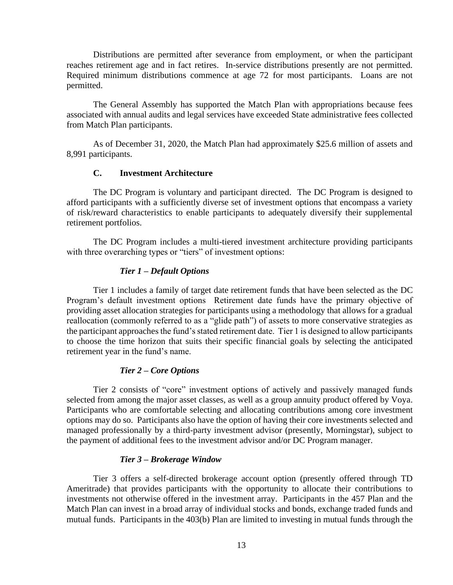Distributions are permitted after severance from employment, or when the participant reaches retirement age and in fact retires. In-service distributions presently are not permitted. Required minimum distributions commence at age 72 for most participants. Loans are not permitted.

The General Assembly has supported the Match Plan with appropriations because fees associated with annual audits and legal services have exceeded State administrative fees collected from Match Plan participants.

As of December 31, 2020, the Match Plan had approximately \$25.6 million of assets and 8,991 participants.

## **C. Investment Architecture**

The DC Program is voluntary and participant directed. The DC Program is designed to afford participants with a sufficiently diverse set of investment options that encompass a variety of risk/reward characteristics to enable participants to adequately diversify their supplemental retirement portfolios.

The DC Program includes a multi-tiered investment architecture providing participants with three overarching types or "tiers" of investment options:

#### *Tier 1 – Default Options*

Tier 1 includes a family of target date retirement funds that have been selected as the DC Program's default investment options Retirement date funds have the primary objective of providing asset allocation strategies for participants using a methodology that allows for a gradual reallocation (commonly referred to as a "glide path") of assets to more conservative strategies as the participant approaches the fund's stated retirement date. Tier 1 is designed to allow participants to choose the time horizon that suits their specific financial goals by selecting the anticipated retirement year in the fund's name.

#### *Tier 2 – Core Options*

Tier 2 consists of "core" investment options of actively and passively managed funds selected from among the major asset classes, as well as a group annuity product offered by Voya. Participants who are comfortable selecting and allocating contributions among core investment options may do so. Participants also have the option of having their core investments selected and managed professionally by a third-party investment advisor (presently, Morningstar), subject to the payment of additional fees to the investment advisor and/or DC Program manager.

#### *Tier 3 – Brokerage Window*

Tier 3 offers a self-directed brokerage account option (presently offered through TD Ameritrade) that provides participants with the opportunity to allocate their contributions to investments not otherwise offered in the investment array. Participants in the 457 Plan and the Match Plan can invest in a broad array of individual stocks and bonds, exchange traded funds and mutual funds. Participants in the 403(b) Plan are limited to investing in mutual funds through the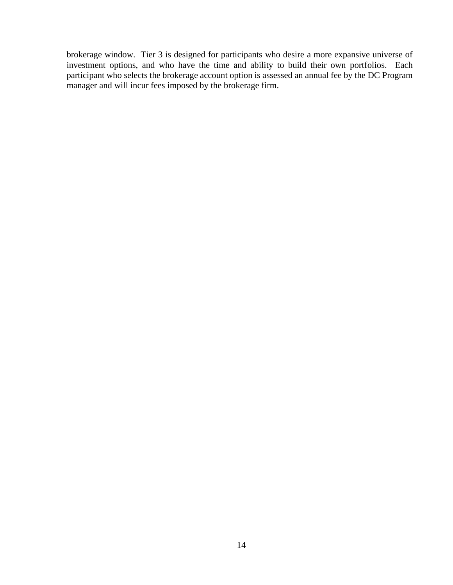brokerage window. Tier 3 is designed for participants who desire a more expansive universe of investment options, and who have the time and ability to build their own portfolios. Each participant who selects the brokerage account option is assessed an annual fee by the DC Program manager and will incur fees imposed by the brokerage firm.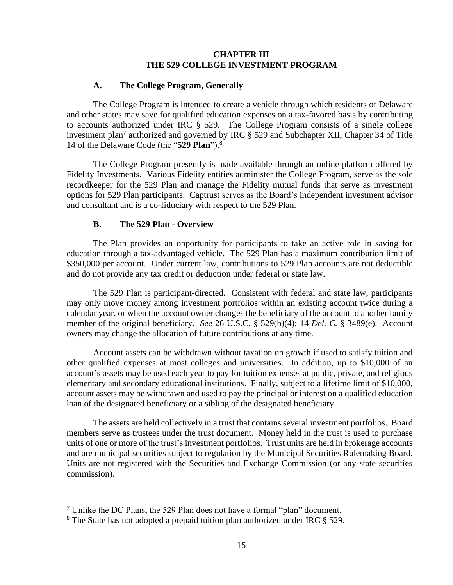## **CHAPTER III THE 529 COLLEGE INVESTMENT PROGRAM**

#### **A. The College Program, Generally**

The College Program is intended to create a vehicle through which residents of Delaware and other states may save for qualified education expenses on a tax-favored basis by contributing to accounts authorized under IRC § 529. The College Program consists of a single college investment plan<sup>7</sup> authorized and governed by IRC  $\S$  529 and Subchapter XII, Chapter 34 of Title 14 of the Delaware Code (the "**529 Plan**").<sup>8</sup>

The College Program presently is made available through an online platform offered by Fidelity Investments. Various Fidelity entities administer the College Program, serve as the sole recordkeeper for the 529 Plan and manage the Fidelity mutual funds that serve as investment options for 529 Plan participants. Captrust serves as the Board's independent investment advisor and consultant and is a co-fiduciary with respect to the 529 Plan.

#### **B. The 529 Plan - Overview**

The Plan provides an opportunity for participants to take an active role in saving for education through a tax-advantaged vehicle. The 529 Plan has a maximum contribution limit of \$350,000 per account. Under current law, contributions to 529 Plan accounts are not deductible and do not provide any tax credit or deduction under federal or state law.

The 529 Plan is participant-directed. Consistent with federal and state law, participants may only move money among investment portfolios within an existing account twice during a calendar year, or when the account owner changes the beneficiary of the account to another family member of the original beneficiary. *See* 26 U.S.C. § 529(b)(4); 14 *Del. C.* § 3489(e). Account owners may change the allocation of future contributions at any time.

Account assets can be withdrawn without taxation on growth if used to satisfy tuition and other qualified expenses at most colleges and universities. In addition, up to \$10,000 of an account's assets may be used each year to pay for tuition expenses at public, private, and religious elementary and secondary educational institutions. Finally, subject to a lifetime limit of \$10,000, account assets may be withdrawn and used to pay the principal or interest on a qualified education loan of the designated beneficiary or a sibling of the designated beneficiary.

The assets are held collectively in a trust that contains several investment portfolios. Board members serve as trustees under the trust document. Money held in the trust is used to purchase units of one or more of the trust's investment portfolios. Trust units are held in brokerage accounts and are municipal securities subject to regulation by the Municipal Securities Rulemaking Board. Units are not registered with the Securities and Exchange Commission (or any state securities commission).

<sup>&</sup>lt;sup>7</sup> Unlike the DC Plans, the 529 Plan does not have a formal "plan" document.

<sup>&</sup>lt;sup>8</sup> The State has not adopted a prepaid tuition plan authorized under IRC  $\S$  529.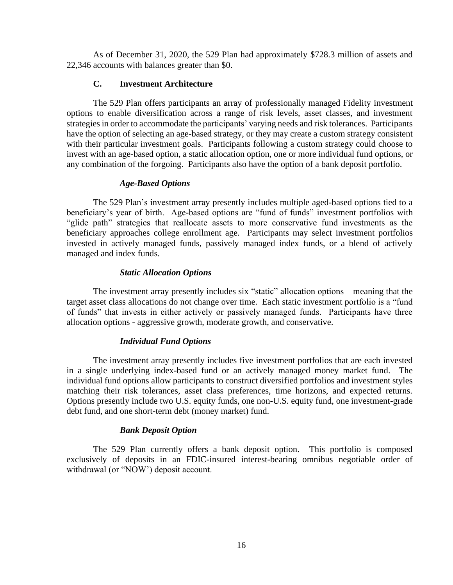As of December 31, 2020, the 529 Plan had approximately \$728.3 million of assets and 22,346 accounts with balances greater than \$0.

## **C. Investment Architecture**

The 529 Plan offers participants an array of professionally managed Fidelity investment options to enable diversification across a range of risk levels, asset classes, and investment strategies in order to accommodate the participants' varying needs and risk tolerances. Participants have the option of selecting an age-based strategy, or they may create a custom strategy consistent with their particular investment goals. Participants following a custom strategy could choose to invest with an age-based option, a static allocation option, one or more individual fund options, or any combination of the forgoing. Participants also have the option of a bank deposit portfolio.

## *Age-Based Options*

The 529 Plan's investment array presently includes multiple aged-based options tied to a beneficiary's year of birth. Age-based options are "fund of funds" investment portfolios with "glide path" strategies that reallocate assets to more conservative fund investments as the beneficiary approaches college enrollment age. Participants may select investment portfolios invested in actively managed funds, passively managed index funds, or a blend of actively managed and index funds.

## *Static Allocation Options*

The investment array presently includes six "static" allocation options – meaning that the target asset class allocations do not change over time. Each static investment portfolio is a "fund of funds" that invests in either actively or passively managed funds. Participants have three allocation options - aggressive growth, moderate growth, and conservative.

## *Individual Fund Options*

The investment array presently includes five investment portfolios that are each invested in a single underlying index-based fund or an actively managed money market fund. The individual fund options allow participants to construct diversified portfolios and investment styles matching their risk tolerances, asset class preferences, time horizons, and expected returns. Options presently include two U.S. equity funds, one non-U.S. equity fund, one investment-grade debt fund, and one short-term debt (money market) fund.

## *Bank Deposit Option*

The 529 Plan currently offers a bank deposit option. This portfolio is composed exclusively of deposits in an FDIC-insured interest-bearing omnibus negotiable order of withdrawal (or "NOW') deposit account.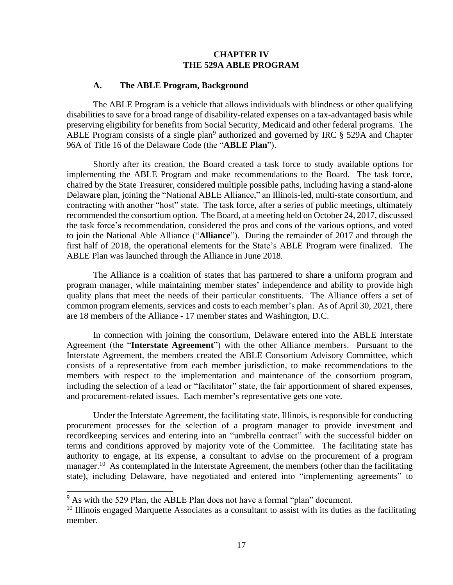## **CHAPTER IV THE 529A ABLE PROGRAM**

#### **A. The ABLE Program, Background**

The ABLE Program is a vehicle that allows individuals with blindness or other qualifying disabilities to save for a broad range of disability-related expenses on a tax-advantaged basis while preserving eligibility for benefits from Social Security, Medicaid and other federal programs. The ABLE Program consists of a single plan<sup>9</sup> authorized and governed by IRC  $\S$  529A and Chapter 96A of Title 16 of the Delaware Code (the "**ABLE Plan**").

Shortly after its creation, the Board created a task force to study available options for implementing the ABLE Program and make recommendations to the Board. The task force, chaired by the State Treasurer, considered multiple possible paths, including having a stand-alone Delaware plan, joining the "National ABLE Alliance," an Illinois-led, multi-state consortium, and contracting with another "host" state. The task force, after a series of public meetings, ultimately recommended the consortium option. The Board, at a meeting held on October 24, 2017, discussed the task force's recommendation, considered the pros and cons of the various options, and voted to join the National Able Alliance ("**Alliance**"). During the remainder of 2017 and through the first half of 2018, the operational elements for the State's ABLE Program were finalized. The ABLE Plan was launched through the Alliance in June 2018.

The Alliance is a coalition of states that has partnered to share a uniform program and program manager, while maintaining member states' independence and ability to provide high quality plans that meet the needs of their particular constituents. The Alliance offers a set of common program elements, services and costs to each member's plan. As of April 30, 2021, there are 18 members of the Alliance - 17 member states and Washington, D.C.

In connection with joining the consortium, Delaware entered into the ABLE Interstate Agreement (the "**Interstate Agreement**") with the other Alliance members. Pursuant to the Interstate Agreement, the members created the ABLE Consortium Advisory Committee, which consists of a representative from each member jurisdiction, to make recommendations to the members with respect to the implementation and maintenance of the consortium program, including the selection of a lead or "facilitator" state, the fair apportionment of shared expenses, and procurement-related issues. Each member's representative gets one vote.

Under the Interstate Agreement, the facilitating state, Illinois, is responsible for conducting procurement processes for the selection of a program manager to provide investment and recordkeeping services and entering into an "umbrella contract" with the successful bidder on terms and conditions approved by majority vote of the Committee. The facilitating state has authority to engage, at its expense, a consultant to advise on the procurement of a program manager.<sup>10</sup> As contemplated in the Interstate Agreement, the members (other than the facilitating state), including Delaware, have negotiated and entered into "implementing agreements" to

 $9$  As with the 529 Plan, the ABLE Plan does not have a formal "plan" document.

<sup>&</sup>lt;sup>10</sup> Illinois engaged Marquette Associates as a consultant to assist with its duties as the facilitating member.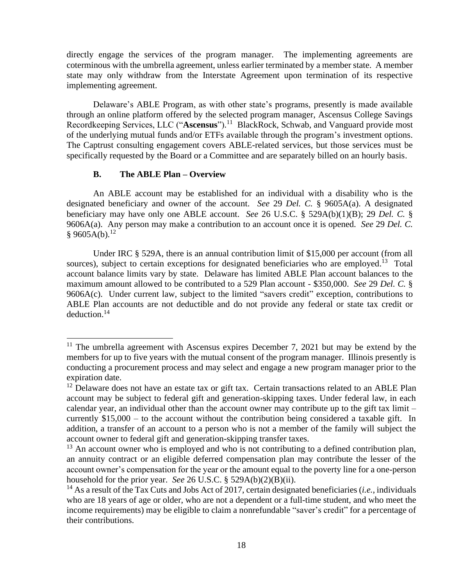directly engage the services of the program manager. The implementing agreements are coterminous with the umbrella agreement, unless earlier terminated by a member state. A member state may only withdraw from the Interstate Agreement upon termination of its respective implementing agreement.

Delaware's ABLE Program, as with other state's programs, presently is made available through an online platform offered by the selected program manager, Ascensus College Savings Recordkeeping Services, LLC ("**Ascensus**"). 11 BlackRock, Schwab, and Vanguard provide most of the underlying mutual funds and/or ETFs available through the program's investment options. The Captrust consulting engagement covers ABLE-related services, but those services must be specifically requested by the Board or a Committee and are separately billed on an hourly basis.

## **B. The ABLE Plan – Overview**

An ABLE account may be established for an individual with a disability who is the designated beneficiary and owner of the account. *See* 29 *Del. C.* § 9605A(a). A designated beneficiary may have only one ABLE account. *See* 26 U.S.C. § 529A(b)(1)(B); 29 *Del. C.* § 9606A(a). Any person may make a contribution to an account once it is opened. *See* 29 *Del. C.*  $§ 9605A(b).$ <sup>12</sup>

Under IRC § 529A, there is an annual contribution limit of \$15,000 per account (from all sources), subject to certain exceptions for designated beneficiaries who are employed.<sup>13</sup> Total account balance limits vary by state. Delaware has limited ABLE Plan account balances to the maximum amount allowed to be contributed to a 529 Plan account - \$350,000. *See* 29 *Del. C.* § 9606A(c). Under current law, subject to the limited "savers credit" exception, contributions to ABLE Plan accounts are not deductible and do not provide any federal or state tax credit or deduction. 14

<sup>&</sup>lt;sup>11</sup> The umbrella agreement with Ascensus expires December 7, 2021 but may be extend by the members for up to five years with the mutual consent of the program manager. Illinois presently is conducting a procurement process and may select and engage a new program manager prior to the expiration date.

<sup>&</sup>lt;sup>12</sup> Delaware does not have an estate tax or gift tax. Certain transactions related to an ABLE Plan account may be subject to federal gift and generation-skipping taxes. Under federal law, in each calendar year, an individual other than the account owner may contribute up to the gift tax limit – currently \$15,000 – to the account without the contribution being considered a taxable gift. In addition, a transfer of an account to a person who is not a member of the family will subject the account owner to federal gift and generation-skipping transfer taxes.

 $13$  An account owner who is employed and who is not contributing to a defined contribution plan, an annuity contract or an eligible deferred compensation plan may contribute the lesser of the account owner's compensation for the year or the amount equal to the poverty line for a one-person household for the prior year. *See* 26 U.S.C. § 529A(b)(2)(B)(ii).

<sup>14</sup> As a result of the Tax Cuts and Jobs Act of 2017, certain designated beneficiaries (*i.e.*, individuals who are 18 years of age or older, who are not a dependent or a full-time student, and who meet the income requirements) may be eligible to claim a nonrefundable "saver's credit" for a percentage of their contributions.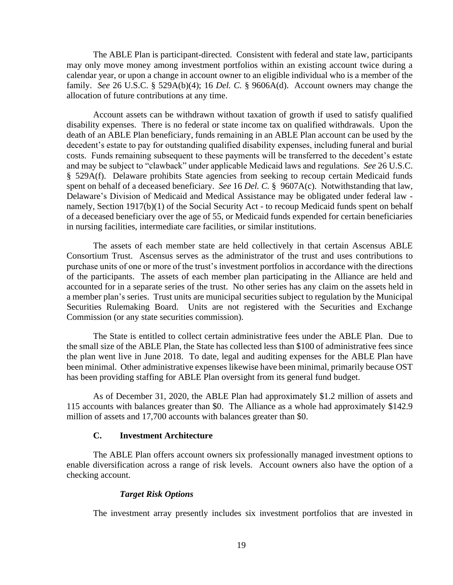The ABLE Plan is participant-directed. Consistent with federal and state law, participants may only move money among investment portfolios within an existing account twice during a calendar year, or upon a change in account owner to an eligible individual who is a member of the family. *See* 26 U.S.C. § 529A(b)(4); 16 *Del. C.* § 9606A(d). Account owners may change the allocation of future contributions at any time.

Account assets can be withdrawn without taxation of growth if used to satisfy qualified disability expenses. There is no federal or state income tax on qualified withdrawals. Upon the death of an ABLE Plan beneficiary, funds remaining in an ABLE Plan account can be used by the decedent's estate to pay for outstanding qualified disability expenses, including funeral and burial costs. Funds remaining subsequent to these payments will be transferred to the decedent's estate and may be subject to "clawback" under applicable Medicaid laws and regulations. *See* 26 U.S.C. § 529A(f). Delaware prohibits State agencies from seeking to recoup certain Medicaid funds spent on behalf of a deceased beneficiary. *See* 16 *Del. C.* § 9607A(c). Notwithstanding that law, Delaware's Division of Medicaid and Medical Assistance may be obligated under federal law namely, Section 1917(b)(1) of the Social Security Act - to recoup Medicaid funds spent on behalf of a deceased beneficiary over the age of 55, or Medicaid funds expended for certain beneficiaries in nursing facilities, intermediate care facilities, or similar institutions.

The assets of each member state are held collectively in that certain Ascensus ABLE Consortium Trust. Ascensus serves as the administrator of the trust and uses contributions to purchase units of one or more of the trust's investment portfolios in accordance with the directions of the participants. The assets of each member plan participating in the Alliance are held and accounted for in a separate series of the trust. No other series has any claim on the assets held in a member plan's series. Trust units are municipal securities subject to regulation by the Municipal Securities Rulemaking Board. Units are not registered with the Securities and Exchange Commission (or any state securities commission).

The State is entitled to collect certain administrative fees under the ABLE Plan. Due to the small size of the ABLE Plan, the State has collected less than \$100 of administrative fees since the plan went live in June 2018. To date, legal and auditing expenses for the ABLE Plan have been minimal. Other administrative expenses likewise have been minimal, primarily because OST has been providing staffing for ABLE Plan oversight from its general fund budget.

As of December 31, 2020, the ABLE Plan had approximately \$1.2 million of assets and 115 accounts with balances greater than \$0. The Alliance as a whole had approximately \$142.9 million of assets and 17,700 accounts with balances greater than \$0.

## **C. Investment Architecture**

The ABLE Plan offers account owners six professionally managed investment options to enable diversification across a range of risk levels. Account owners also have the option of a checking account.

#### *Target Risk Options*

The investment array presently includes six investment portfolios that are invested in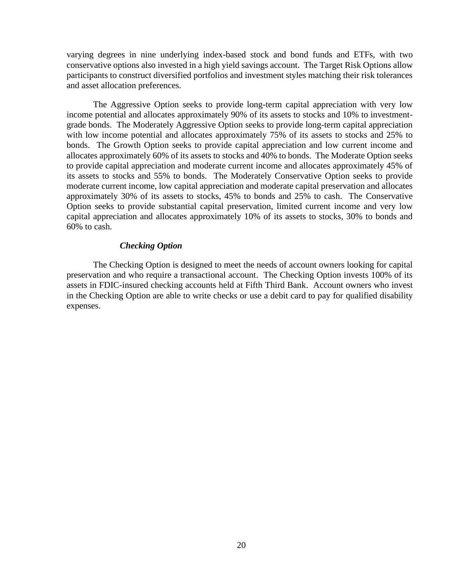varying degrees in nine underlying index-based stock and bond funds and ETFs, with two conservative options also invested in a high yield savings account. The Target Risk Options allow participants to construct diversified portfolios and investment styles matching their risk tolerances and asset allocation preferences.

The Aggressive Option seeks to provide long-term capital appreciation with very low income potential and allocates approximately 90% of its assets to stocks and 10% to investmentgrade bonds. The Moderately Aggressive Option seeks to provide long-term capital appreciation with low income potential and allocates approximately 75% of its assets to stocks and 25% to bonds. The Growth Option seeks to provide capital appreciation and low current income and allocates approximately 60% of its assets to stocks and 40% to bonds. The Moderate Option seeks to provide capital appreciation and moderate current income and allocates approximately 45% of its assets to stocks and 55% to bonds. The Moderately Conservative Option seeks to provide moderate current income, low capital appreciation and moderate capital preservation and allocates approximately 30% of its assets to stocks, 45% to bonds and 25% to cash. The Conservative Option seeks to provide substantial capital preservation, limited current income and very low capital appreciation and allocates approximately 10% of its assets to stocks, 30% to bonds and 60% to cash.

#### *Checking Option*

The Checking Option is designed to meet the needs of account owners looking for capital preservation and who require a transactional account. The Checking Option invests 100% of its assets in FDIC-insured checking accounts held at Fifth Third Bank. Account owners who invest in the Checking Option are able to write checks or use a debit card to pay for qualified disability expenses.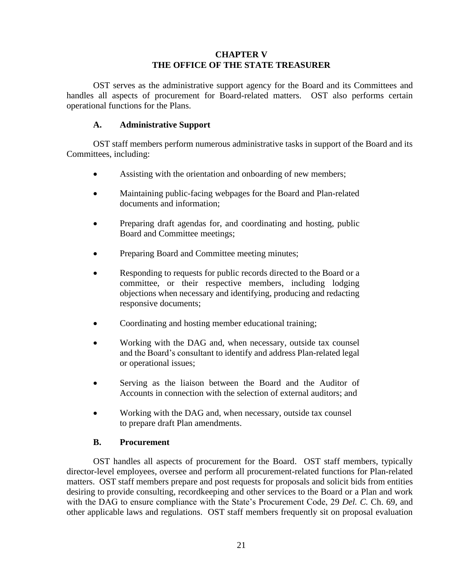# **CHAPTER V THE OFFICE OF THE STATE TREASURER**

OST serves as the administrative support agency for the Board and its Committees and handles all aspects of procurement for Board-related matters. OST also performs certain operational functions for the Plans.

# **A. Administrative Support**

OST staff members perform numerous administrative tasks in support of the Board and its Committees, including:

- Assisting with the orientation and onboarding of new members;
- Maintaining public-facing webpages for the Board and Plan-related documents and information;
- Preparing draft agendas for, and coordinating and hosting, public Board and Committee meetings;
- Preparing Board and Committee meeting minutes;
- Responding to requests for public records directed to the Board or a committee, or their respective members, including lodging objections when necessary and identifying, producing and redacting responsive documents;
- Coordinating and hosting member educational training;
- Working with the DAG and, when necessary, outside tax counsel and the Board's consultant to identify and address Plan-related legal or operational issues;
- Serving as the liaison between the Board and the Auditor of Accounts in connection with the selection of external auditors; and
- Working with the DAG and, when necessary, outside tax counsel to prepare draft Plan amendments.

# **B. Procurement**

OST handles all aspects of procurement for the Board. OST staff members, typically director-level employees, oversee and perform all procurement-related functions for Plan-related matters. OST staff members prepare and post requests for proposals and solicit bids from entities desiring to provide consulting, recordkeeping and other services to the Board or a Plan and work with the DAG to ensure compliance with the State's Procurement Code, 29 *Del. C.* Ch. 69, and other applicable laws and regulations. OST staff members frequently sit on proposal evaluation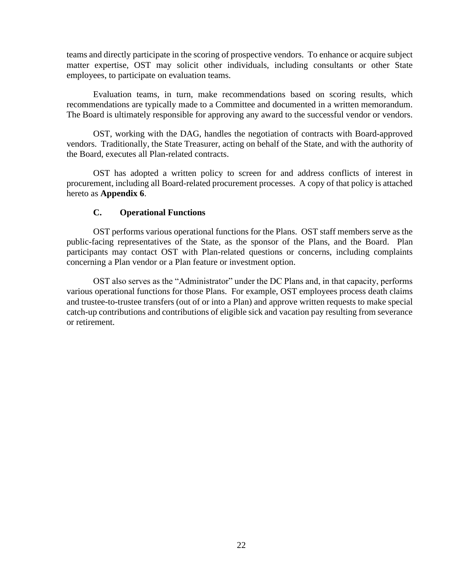teams and directly participate in the scoring of prospective vendors. To enhance or acquire subject matter expertise, OST may solicit other individuals, including consultants or other State employees, to participate on evaluation teams.

Evaluation teams, in turn, make recommendations based on scoring results, which recommendations are typically made to a Committee and documented in a written memorandum. The Board is ultimately responsible for approving any award to the successful vendor or vendors.

OST, working with the DAG, handles the negotiation of contracts with Board-approved vendors. Traditionally, the State Treasurer, acting on behalf of the State, and with the authority of the Board, executes all Plan-related contracts.

OST has adopted a written policy to screen for and address conflicts of interest in procurement, including all Board-related procurement processes. A copy of that policy is attached hereto as **Appendix 6**.

#### **C. Operational Functions**

OST performs various operational functions for the Plans. OST staff members serve as the public-facing representatives of the State, as the sponsor of the Plans, and the Board. Plan participants may contact OST with Plan-related questions or concerns, including complaints concerning a Plan vendor or a Plan feature or investment option.

OST also serves as the "Administrator" under the DC Plans and, in that capacity, performs various operational functions for those Plans. For example, OST employees process death claims and trustee-to-trustee transfers (out of or into a Plan) and approve written requests to make special catch-up contributions and contributions of eligible sick and vacation pay resulting from severance or retirement.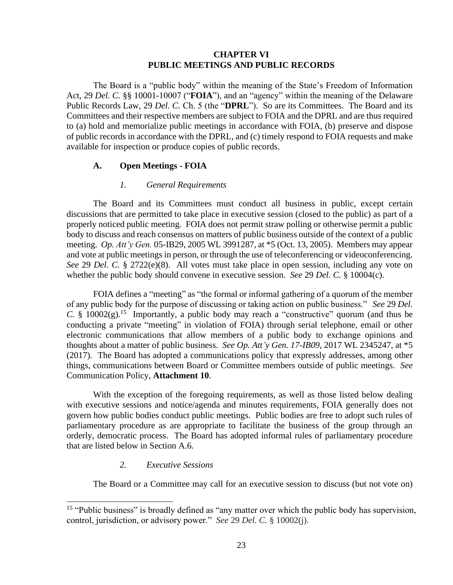## **CHAPTER VI PUBLIC MEETINGS AND PUBLIC RECORDS**

The Board is a "public body" within the meaning of the State's Freedom of Information Act, 29 *Del. C.* §§ 10001-10007 ("**FOIA**"), and an "agency" within the meaning of the Delaware Public Records Law, 29 *Del. C.* Ch. 5 (the "**DPRL**"). So are its Committees. The Board and its Committees and their respective members are subject to FOIA and the DPRL and are thus required to (a) hold and memorialize public meetings in accordance with FOIA, (b) preserve and dispose of public records in accordance with the DPRL, and (c) timely respond to FOIA requests and make available for inspection or produce copies of public records.

## **A. Open Meetings - FOIA**

#### *1. General Requirements*

The Board and its Committees must conduct all business in public, except certain discussions that are permitted to take place in executive session (closed to the public) as part of a properly noticed public meeting. FOIA does not permit straw polling or otherwise permit a public body to discuss and reach consensus on matters of public business outside of the context of a public meeting. *Op. Att'y Gen.* 05-IB29, 2005 WL 3991287, at \*5 (Oct. 13, 2005). Members may appear and vote at public meetings in person, or through the use of teleconferencing or videoconferencing. *See* 29 *Del. C.* § 2722(e)(8). All votes must take place in open session, including any vote on whether the public body should convene in executive session. *See* 29 *Del. C.* § 10004(c).

FOIA defines a "meeting" as "the formal or informal gathering of a quorum of the member of any public body for the purpose of discussing or taking action on public business." *See* 29 *Del. C.* § 10002(g).<sup>15</sup> Importantly, a public body may reach a "constructive" quorum (and thus be conducting a private "meeting" in violation of FOIA) through serial telephone, email or other electronic communications that allow members of a public body to exchange opinions and thoughts about a matter of public business. *See Op. Att'y Gen. 17-IB09*, 2017 WL 2345247, at \*5 (2017). The Board has adopted a communications policy that expressly addresses, among other things, communications between Board or Committee members outside of public meetings. *See* Communication Policy, **Attachment 10**.

With the exception of the foregoing requirements, as well as those listed below dealing with executive sessions and notice/agenda and minutes requirements, FOIA generally does not govern how public bodies conduct public meetings. Public bodies are free to adopt such rules of parliamentary procedure as are appropriate to facilitate the business of the group through an orderly, democratic process. The Board has adopted informal rules of parliamentary procedure that are listed below in Section A.6.

#### *2. Executive Sessions*

The Board or a Committee may call for an executive session to discuss (but not vote on)

<sup>&</sup>lt;sup>15</sup> "Public business" is broadly defined as "any matter over which the public body has supervision, control, jurisdiction, or advisory power." *See* 29 *Del. C.* § 10002(j).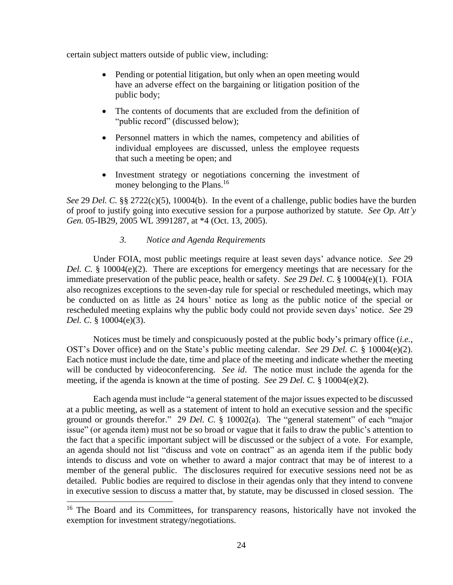certain subject matters outside of public view, including:

- Pending or potential litigation, but only when an open meeting would have an adverse effect on the bargaining or litigation position of the public body;
- The contents of documents that are excluded from the definition of "public record" (discussed below);
- Personnel matters in which the names, competency and abilities of individual employees are discussed, unless the employee requests that such a meeting be open; and
- Investment strategy or negotiations concerning the investment of money belonging to the Plans.<sup>16</sup>

*See* 29 *Del. C.* §§ 2722(c)(5), 10004(b). In the event of a challenge, public bodies have the burden of proof to justify going into executive session for a purpose authorized by statute. *See Op. Att'y Gen.* 05-IB29, 2005 WL 3991287, at \*4 (Oct. 13, 2005).

## *3. Notice and Agenda Requirements*

Under FOIA, most public meetings require at least seven days' advance notice. *See* 29 *Del. C.* § 10004(e)(2). There are exceptions for emergency meetings that are necessary for the immediate preservation of the public peace, health or safety. *See* 29 *Del. C.* § 10004(e)(1). FOIA also recognizes exceptions to the seven-day rule for special or rescheduled meetings, which may be conducted on as little as 24 hours' notice as long as the public notice of the special or rescheduled meeting explains why the public body could not provide seven days' notice. *See* 29 *Del. C.* § 10004(e)(3).

Notices must be timely and conspicuously posted at the public body's primary office (*i.e.*, OST's Dover office) and on the State's public meeting calendar. *See* 29 *Del. C.* § 10004(e)(2). Each notice must include the date, time and place of the meeting and indicate whether the meeting will be conducted by videoconferencing. *See id*. The notice must include the agenda for the meeting, if the agenda is known at the time of posting. *See* 29 *Del. C.* § 10004(e)(2).

Each agenda must include "a general statement of the major issues expected to be discussed at a public meeting, as well as a statement of intent to hold an executive session and the specific ground or grounds therefor." 29 *Del. C.* § 10002(a). The "general statement" of each "major issue" (or agenda item) must not be so broad or vague that it fails to draw the public's attention to the fact that a specific important subject will be discussed or the subject of a vote. For example, an agenda should not list "discuss and vote on contract" as an agenda item if the public body intends to discuss and vote on whether to award a major contract that may be of interest to a member of the general public. The disclosures required for executive sessions need not be as detailed. Public bodies are required to disclose in their agendas only that they intend to convene in executive session to discuss a matter that, by statute, may be discussed in closed session. The

<sup>&</sup>lt;sup>16</sup> The Board and its Committees, for transparency reasons, historically have not invoked the exemption for investment strategy/negotiations.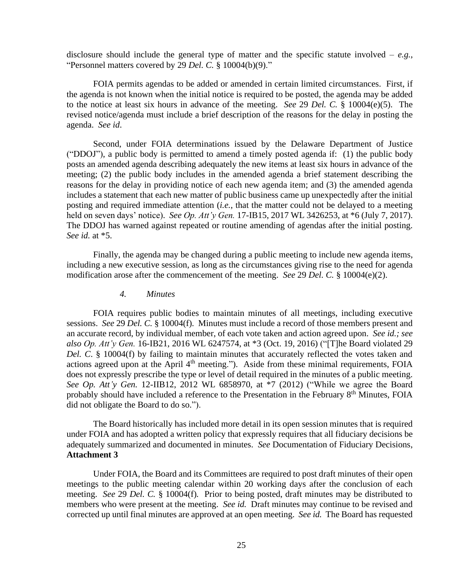disclosure should include the general type of matter and the specific statute involved – *e.g.*, "Personnel matters covered by 29 *Del. C.* § 10004(b)(9)."

FOIA permits agendas to be added or amended in certain limited circumstances. First, if the agenda is not known when the initial notice is required to be posted, the agenda may be added to the notice at least six hours in advance of the meeting. *See* 29 *Del. C.* § 10004(e)(5). The revised notice/agenda must include a brief description of the reasons for the delay in posting the agenda. *See id*.

Second, under FOIA determinations issued by the Delaware Department of Justice ("DDOJ"), a public body is permitted to amend a timely posted agenda if: (1) the public body posts an amended agenda describing adequately the new items at least six hours in advance of the meeting; (2) the public body includes in the amended agenda a brief statement describing the reasons for the delay in providing notice of each new agenda item; and (3) the amended agenda includes a statement that each new matter of public business came up unexpectedly after the initial posting and required immediate attention (*i.e.*, that the matter could not be delayed to a meeting held on seven days' notice). *See Op. Att'y Gen.* 17-IB15, 2017 WL 3426253, at \*6 (July 7, 2017). The DDOJ has warned against repeated or routine amending of agendas after the initial posting. *See id.* at \*5.

Finally, the agenda may be changed during a public meeting to include new agenda items, including a new executive session, as long as the circumstances giving rise to the need for agenda modification arose after the commencement of the meeting. *See* 29 *Del. C.* § 10004(e)(2).

#### *4. Minutes*

FOIA requires public bodies to maintain minutes of all meetings, including executive sessions. *See* 29 *Del. C.* § 10004(f). Minutes must include a record of those members present and an accurate record, by individual member, of each vote taken and action agreed upon. *See id.; see also Op. Att'y Gen.* 16-IB21, 2016 WL 6247574, at \*3 (Oct. 19, 2016) ("[T]he Board violated 29 *Del. C*. § 10004(f) by failing to maintain minutes that accurately reflected the votes taken and actions agreed upon at the April  $4<sup>th</sup>$  meeting."). Aside from these minimal requirements, FOIA does not expressly prescribe the type or level of detail required in the minutes of a public meeting. *See Op. Att'y Gen.* 12-IIB12, 2012 WL 6858970, at \*7 (2012) ("While we agree the Board probably should have included a reference to the Presentation in the February 8<sup>th</sup> Minutes, FOIA did not obligate the Board to do so.").

The Board historically has included more detail in its open session minutes that is required under FOIA and has adopted a written policy that expressly requires that all fiduciary decisions be adequately summarized and documented in minutes. *See* Documentation of Fiduciary Decisions, **Attachment 3**

Under FOIA, the Board and its Committees are required to post draft minutes of their open meetings to the public meeting calendar within 20 working days after the conclusion of each meeting. *See* 29 *Del. C.* § 10004(f)*.* Prior to being posted, draft minutes may be distributed to members who were present at the meeting. *See id.* Draft minutes may continue to be revised and corrected up until final minutes are approved at an open meeting. *See id.* The Board has requested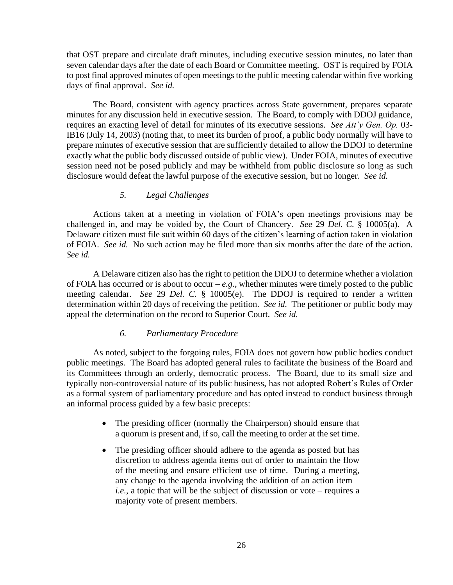that OST prepare and circulate draft minutes, including executive session minutes, no later than seven calendar days after the date of each Board or Committee meeting. OST is required by FOIA to post final approved minutes of open meetings to the public meeting calendar within five working days of final approval. *See id.*

The Board, consistent with agency practices across State government, prepares separate minutes for any discussion held in executive session. The Board, to comply with DDOJ guidance, requires an exacting level of detail for minutes of its executive sessions. *See Att'y Gen. Op.* 03- IB16 (July 14, 2003) (noting that, to meet its burden of proof, a public body normally will have to prepare minutes of executive session that are sufficiently detailed to allow the DDOJ to determine exactly what the public body discussed outside of public view). Under FOIA, minutes of executive session need not be posed publicly and may be withheld from public disclosure so long as such disclosure would defeat the lawful purpose of the executive session, but no longer. *See id.*

## *5. Legal Challenges*

Actions taken at a meeting in violation of FOIA's open meetings provisions may be challenged in, and may be voided by, the Court of Chancery. *See* 29 *Del. C.* § 10005(a). A Delaware citizen must file suit within 60 days of the citizen's learning of action taken in violation of FOIA. *See id.* No such action may be filed more than six months after the date of the action. *See id.*

A Delaware citizen also has the right to petition the DDOJ to determine whether a violation of FOIA has occurred or is about to occur – *e.g.*, whether minutes were timely posted to the public meeting calendar. *See* 29 *Del. C.* § 10005(e). The DDOJ is required to render a written determination within 20 days of receiving the petition. *See id.* The petitioner or public body may appeal the determination on the record to Superior Court. *See id.*

#### *6. Parliamentary Procedure*

As noted, subject to the forgoing rules, FOIA does not govern how public bodies conduct public meetings. The Board has adopted general rules to facilitate the business of the Board and its Committees through an orderly, democratic process. The Board, due to its small size and typically non-controversial nature of its public business, has not adopted Robert's Rules of Order as a formal system of parliamentary procedure and has opted instead to conduct business through an informal process guided by a few basic precepts:

- The presiding officer (normally the Chairperson) should ensure that a quorum is present and, if so, call the meeting to order at the set time.
- The presiding officer should adhere to the agenda as posted but has discretion to address agenda items out of order to maintain the flow of the meeting and ensure efficient use of time. During a meeting, any change to the agenda involving the addition of an action item – *i.e.*, a topic that will be the subject of discussion or vote – requires a majority vote of present members.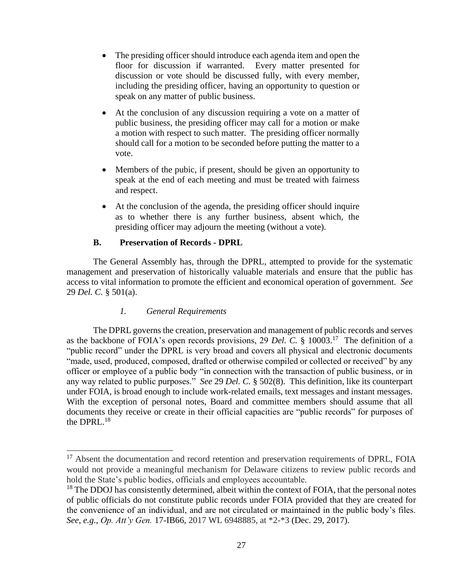- The presiding officer should introduce each agenda item and open the floor for discussion if warranted. Every matter presented for discussion or vote should be discussed fully, with every member, including the presiding officer, having an opportunity to question or speak on any matter of public business.
- At the conclusion of any discussion requiring a vote on a matter of public business, the presiding officer may call for a motion or make a motion with respect to such matter. The presiding officer normally should call for a motion to be seconded before putting the matter to a vote.
- Members of the pubic, if present, should be given an opportunity to speak at the end of each meeting and must be treated with fairness and respect.
- At the conclusion of the agenda, the presiding officer should inquire as to whether there is any further business, absent which, the presiding officer may adjourn the meeting (without a vote).

# **B. Preservation of Records - DPRL**

The General Assembly has, through the DPRL, attempted to provide for the systematic management and preservation of historically valuable materials and ensure that the public has access to vital information to promote the efficient and economical operation of government. *See* 29 *Del. C.* § 501(a).

# *1. General Requirements*

The DPRL governs the creation, preservation and management of public records and serves as the backbone of FOIA's open records provisions, 29 *Del. C.* § 10003.<sup>17</sup> The definition of a "public record" under the DPRL is very broad and covers all physical and electronic documents "made, used, produced, composed, drafted or otherwise compiled or collected or received" by any officer or employee of a public body "in connection with the transaction of public business, or in any way related to public purposes." *See* 29 *Del. C.* § 502(8). This definition, like its counterpart under FOIA, is broad enough to include work-related emails, text messages and instant messages. With the exception of personal notes, Board and committee members should assume that all documents they receive or create in their official capacities are "public records" for purposes of the DPRL. $^{18}$ 

<sup>&</sup>lt;sup>17</sup> Absent the documentation and record retention and preservation requirements of DPRL, FOIA would not provide a meaningful mechanism for Delaware citizens to review public records and hold the State's public bodies, officials and employees accountable.

<sup>&</sup>lt;sup>18</sup> The DDOJ has consistently determined, albeit within the context of FOIA, that the personal notes of public officials do not constitute public records under FOIA provided that they are created for the convenience of an individual, and are not circulated or maintained in the public body's files. *See*, *e.g.*, *Op. Att'y Gen.* 17-IB66, 2017 WL 6948885, at \*2-\*3 (Dec. 29, 2017).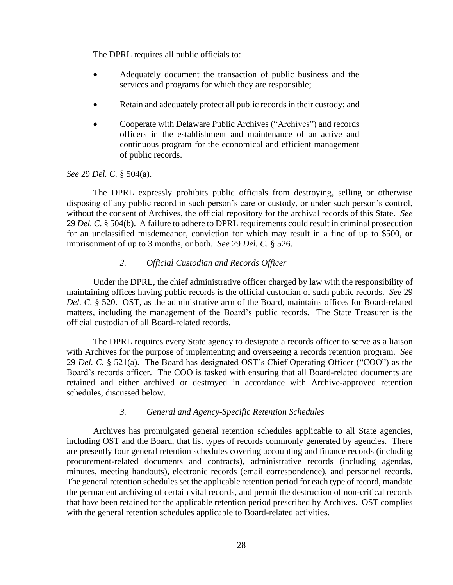The DPRL requires all public officials to:

- Adequately document the transaction of public business and the services and programs for which they are responsible;
- Retain and adequately protect all public records in their custody; and
- Cooperate with Delaware Public Archives ("Archives") and records officers in the establishment and maintenance of an active and continuous program for the economical and efficient management of public records.

# *See* 29 *Del. C.* § 504(a).

The DPRL expressly prohibits public officials from destroying, selling or otherwise disposing of any public record in such person's care or custody, or under such person's control, without the consent of Archives, the official repository for the archival records of this State. *See* 29 *Del. C.* § 504(b). A failure to adhere to DPRL requirements could result in criminal prosecution for an unclassified misdemeanor, conviction for which may result in a fine of up to \$500, or imprisonment of up to 3 months, or both. *See* 29 *Del. C.* § 526.

# *2. Official Custodian and Records Officer*

Under the DPRL, the chief administrative officer charged by law with the responsibility of maintaining offices having public records is the official custodian of such public records. *See* 29 *Del. C.* § 520. OST, as the administrative arm of the Board, maintains offices for Board-related matters, including the management of the Board's public records. The State Treasurer is the official custodian of all Board-related records.

The DPRL requires every State agency to designate a records officer to serve as a liaison with Archives for the purpose of implementing and overseeing a records retention program. *See* 29 *Del. C.* § 521(a). The Board has designated OST's Chief Operating Officer ("COO") as the Board's records officer. The COO is tasked with ensuring that all Board-related documents are retained and either archived or destroyed in accordance with Archive-approved retention schedules, discussed below.

## *3. General and Agency-Specific Retention Schedules*

Archives has promulgated general retention schedules applicable to all State agencies, including OST and the Board, that list types of records commonly generated by agencies. There are presently four general retention schedules covering accounting and finance records (including procurement-related documents and contracts), administrative records (including agendas, minutes, meeting handouts), electronic records (email correspondence), and personnel records. The general retention schedules set the applicable retention period for each type of record, mandate the permanent archiving of certain vital records, and permit the destruction of non-critical records that have been retained for the applicable retention period prescribed by Archives. OST complies with the general retention schedules applicable to Board-related activities.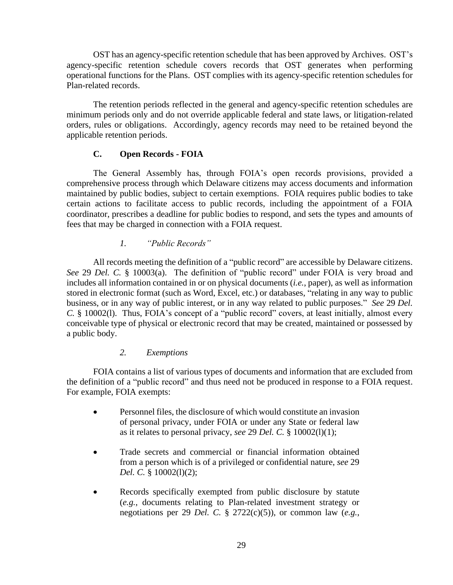OST has an agency-specific retention schedule that has been approved by Archives. OST's agency-specific retention schedule covers records that OST generates when performing operational functions for the Plans. OST complies with its agency-specific retention schedules for Plan-related records.

The retention periods reflected in the general and agency-specific retention schedules are minimum periods only and do not override applicable federal and state laws, or litigation-related orders, rules or obligations. Accordingly, agency records may need to be retained beyond the applicable retention periods.

## **C. Open Records - FOIA**

The General Assembly has, through FOIA's open records provisions, provided a comprehensive process through which Delaware citizens may access documents and information maintained by public bodies, subject to certain exemptions. FOIA requires public bodies to take certain actions to facilitate access to public records, including the appointment of a FOIA coordinator, prescribes a deadline for public bodies to respond, and sets the types and amounts of fees that may be charged in connection with a FOIA request.

## *1. "Public Records"*

All records meeting the definition of a "public record" are accessible by Delaware citizens. *See* 29 *Del. C.* § 10003(a). The definition of "public record" under FOIA is very broad and includes all information contained in or on physical documents (*i.e.*, paper), as well as information stored in electronic format (such as Word, Excel, etc.) or databases, "relating in any way to public business, or in any way of public interest, or in any way related to public purposes." *See* 29 *Del. C.* § 10002(l). Thus, FOIA's concept of a "public record" covers, at least initially, almost every conceivable type of physical or electronic record that may be created, maintained or possessed by a public body.

#### *2. Exemptions*

FOIA contains a list of various types of documents and information that are excluded from the definition of a "public record" and thus need not be produced in response to a FOIA request. For example, FOIA exempts:

- Personnel files, the disclosure of which would constitute an invasion of personal privacy, under FOIA or under any State or federal law as it relates to personal privacy, *see* 29 *Del. C.* § 10002(l)(1);
- Trade secrets and commercial or financial information obtained from a person which is of a privileged or confidential nature, *see* 29 *Del. C.* § 10002(l)(2);
- Records specifically exempted from public disclosure by statute (*e.g.*, documents relating to Plan-related investment strategy or negotiations per 29 *Del. C.* § 2722(c)(5)), or common law (*e.g.*,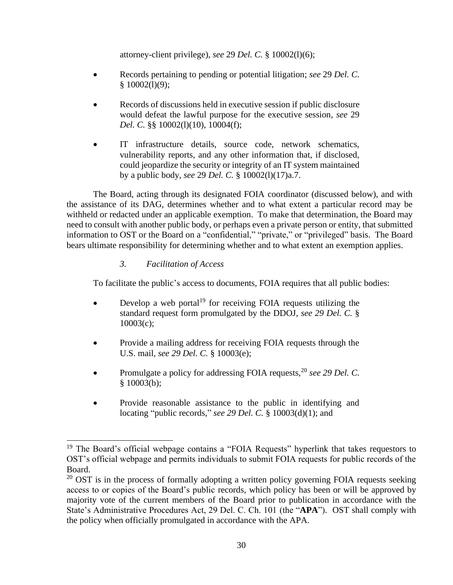attorney-client privilege), *see* 29 *Del. C.* § 10002(l)(6);

- Records pertaining to pending or potential litigation; *see* 29 *Del. C.*  $§ 10002(1)(9);$
- Records of discussions held in executive session if public disclosure would defeat the lawful purpose for the executive session, *see* 29 *Del. C.* §§ 10002(1)(10), 10004(f);
- IT infrastructure details, source code, network schematics, vulnerability reports, and any other information that, if disclosed, could jeopardize the security or integrity of an IT system maintained by a public body, *see* 29 *Del. C.* § 10002(l)(17)a.7.

The Board, acting through its designated FOIA coordinator (discussed below), and with the assistance of its DAG, determines whether and to what extent a particular record may be withheld or redacted under an applicable exemption. To make that determination, the Board may need to consult with another public body, or perhaps even a private person or entity, that submitted information to OST or the Board on a "confidential," "private," or "privileged" basis. The Board bears ultimate responsibility for determining whether and to what extent an exemption applies.

# *3. Facilitation of Access*

To facilitate the public's access to documents, FOIA requires that all public bodies:

- Develop a web portal<sup>19</sup> for receiving FOIA requests utilizing the standard request form promulgated by the DDOJ, *see 29 Del. C.* § 10003(c);
- Provide a mailing address for receiving FOIA requests through the U.S. mail, *see 29 Del. C.* § 10003(e);
- Promulgate a policy for addressing FOIA requests,<sup>20</sup> *see 29 Del. C.*  § 10003(b);
- Provide reasonable assistance to the public in identifying and locating "public records," *see 29 Del. C.* § 10003(d)(1); and

 $19$  The Board's official webpage contains a "FOIA Requests" hyperlink that takes requestors to OST's official webpage and permits individuals to submit FOIA requests for public records of the Board.

 $20$  OST is in the process of formally adopting a written policy governing FOIA requests seeking access to or copies of the Board's public records, which policy has been or will be approved by majority vote of the current members of the Board prior to publication in accordance with the State's Administrative Procedures Act, 29 Del. C. Ch. 101 (the "**APA**"). OST shall comply with the policy when officially promulgated in accordance with the APA.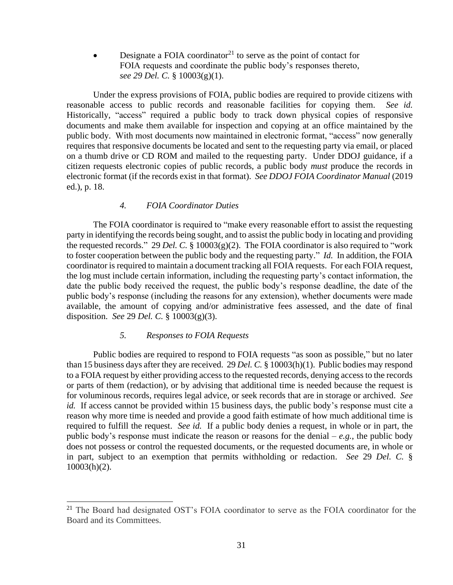Designate a FOIA coordinator<sup>21</sup> to serve as the point of contact for FOIA requests and coordinate the public body's responses thereto, *see 29 Del. C.* § 10003(g)(1).

Under the express provisions of FOIA, public bodies are required to provide citizens with reasonable access to public records and reasonable facilities for copying them. *See id.* Historically, "access" required a public body to track down physical copies of responsive documents and make them available for inspection and copying at an office maintained by the public body. With most documents now maintained in electronic format, "access" now generally requires that responsive documents be located and sent to the requesting party via email, or placed on a thumb drive or CD ROM and mailed to the requesting party. Under DDOJ guidance, if a citizen requests electronic copies of public records, a public body *must* produce the records in electronic format (if the records exist in that format). *See DDOJ FOIA Coordinator Manual* (2019 ed.), p. 18.

## *4. FOIA Coordinator Duties*

The FOIA coordinator is required to "make every reasonable effort to assist the requesting party in identifying the records being sought, and to assist the public body in locating and providing the requested records." 29 *Del. C.* § 10003(g)(2). The FOIA coordinator is also required to "work to foster cooperation between the public body and the requesting party." *Id.* In addition, the FOIA coordinator is required to maintain a document tracking all FOIA requests. For each FOIA request, the log must include certain information, including the requesting party's contact information, the date the public body received the request, the public body's response deadline, the date of the public body's response (including the reasons for any extension), whether documents were made available, the amount of copying and/or administrative fees assessed, and the date of final disposition. *See* 29 *Del. C.* § 10003(g)(3).

## *5. Responses to FOIA Requests*

Public bodies are required to respond to FOIA requests "as soon as possible," but no later than 15 business days after they are received. 29 *Del. C.* § 10003(h)(1). Public bodies may respond to a FOIA request by either providing access to the requested records, denying access to the records or parts of them (redaction), or by advising that additional time is needed because the request is for voluminous records, requires legal advice, or seek records that are in storage or archived. *See id.* If access cannot be provided within 15 business days, the public body's response must cite a reason why more time is needed and provide a good faith estimate of how much additional time is required to fulfill the request. *See id.* If a public body denies a request, in whole or in part, the public body's response must indicate the reason or reasons for the denial  $-e, g,$ , the public body does not possess or control the requested documents, or the requested documents are, in whole or in part, subject to an exemption that permits withholding or redaction. *See* 29 *Del. C.* § 10003(h)(2).

<sup>&</sup>lt;sup>21</sup> The Board had designated OST's FOIA coordinator to serve as the FOIA coordinator for the Board and its Committees.